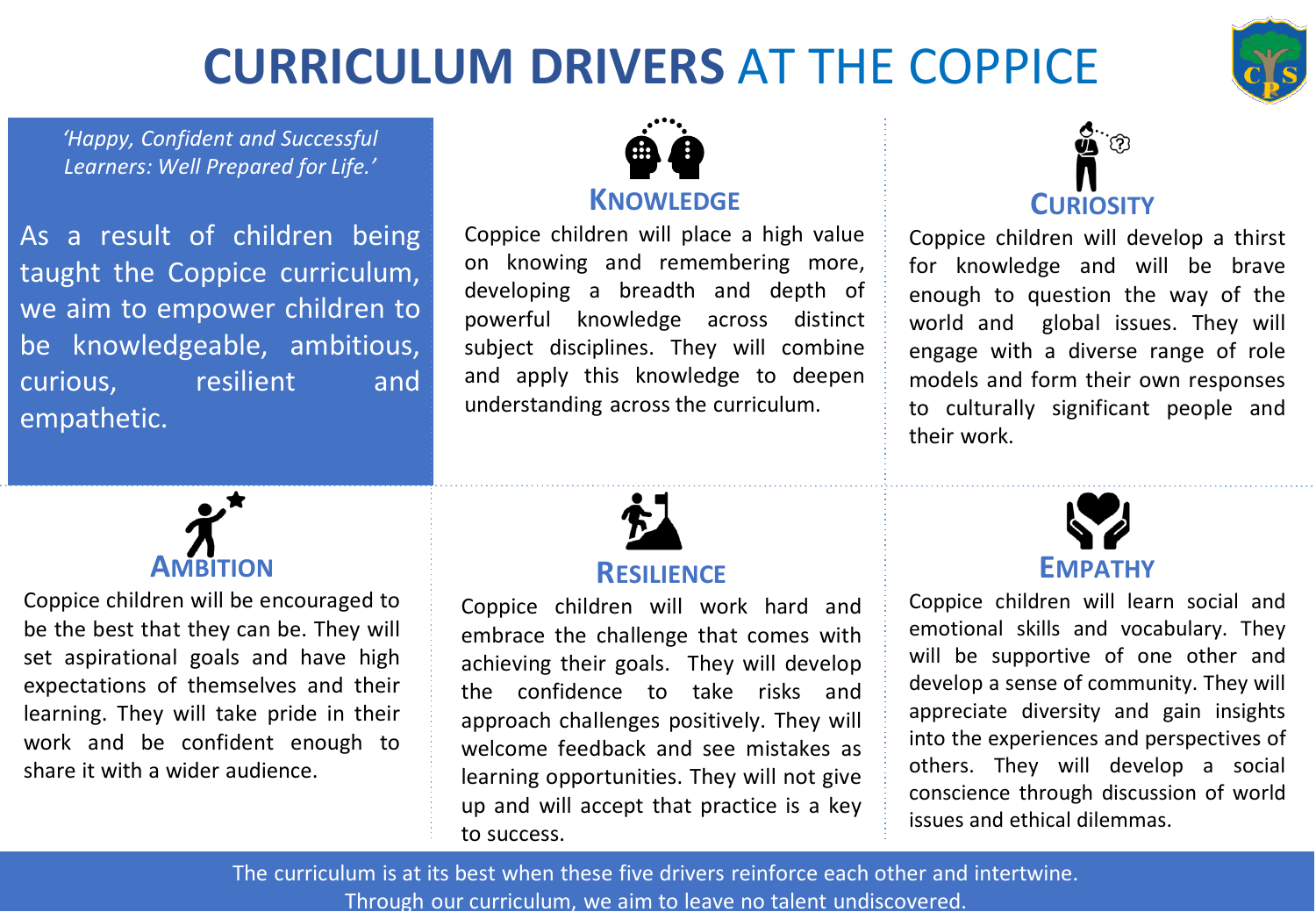# **CURRICULUM DRIVERS** AT THE COPPICE



*'Happy, Confident and Successful Learners: Well Prepared for Life.'*

As a result of children being taught the Coppice curriculum, we aim to empower children to be knowledgeable, ambitious, curious, resilient and empathetic.



### **KNOWLEDGE**

Coppice children will place a high value on knowing and remembering more, developing a breadth and depth of powerful knowledge across distinct subject disciplines. They will combine and apply this knowledge to deepen understanding across the curriculum.



### **RESILIENCE**

Coppice children will work hard and embrace the challenge that comes with achieving their goals. They will develop the confidence to take risks and approach challenges positively. They will welcome feedback and see mistakes as learning opportunities. They will not give up and will accept that practice is a key to success.



Coppice children will develop a thirst for knowledge and will be brave enough to question the way of the world and global issues. They will engage with a diverse range of role models and form their own responses to culturally significant people and their work.



Coppice children will learn social and emotional skills and vocabulary. They will be supportive of one other and develop a sense of community. They will appreciate diversity and gain insights into the experiences and perspectives of others. They will develop a social conscience through discussion of world issues and ethical dilemmas.

The curriculum is at its best when these five drivers reinforce each other and intertwine. Through our curriculum, we aim to leave no talent undiscovered.



Coppice children will be encouraged to be the best that they can be. They will set aspirational goals and have high expectations of themselves and their learning. They will take pride in their work and be confident enough to share it with a wider audience.